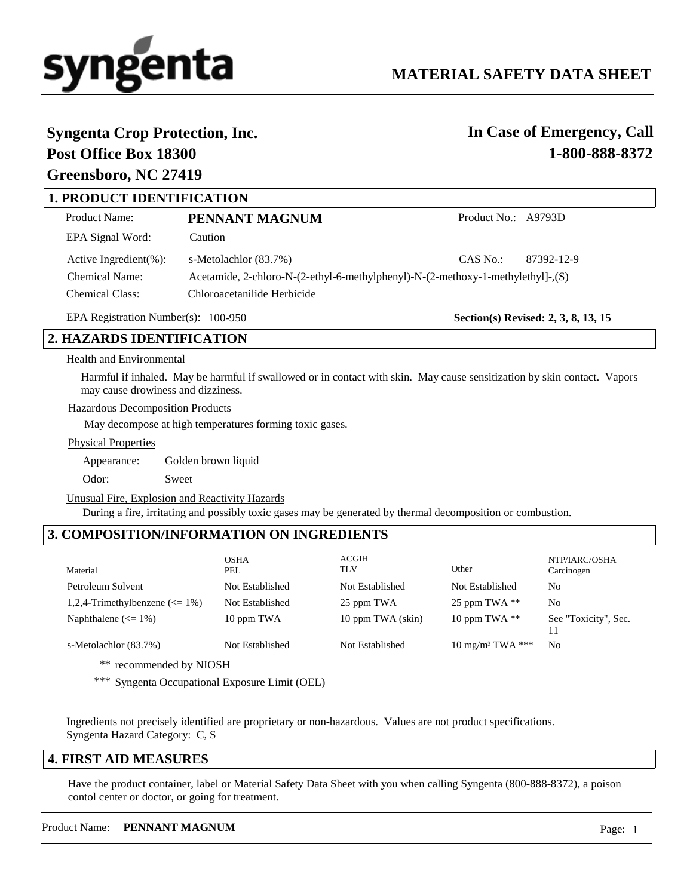

# **Syngenta Crop Protection, Inc.**

## **Post Office Box 18300 Greensboro, NC 27419**

# **In Case of Emergency, Call 1-800-888-8372**

## **1. PRODUCT IDENTIFICATION**

| Product Name:               | PENNANT MAGNUM                                                                  | Product No.: A9793D |            |
|-----------------------------|---------------------------------------------------------------------------------|---------------------|------------|
| EPA Signal Word:            | Caution                                                                         |                     |            |
| Active Ingredient $(\% )$ : | s-Metolachlor (83.7%)                                                           | $CAS$ No.:          | 87392-12-9 |
| <b>Chemical Name:</b>       | Acetamide, 2-chloro-N-(2-ethyl-6-methylphenyl)-N-(2-methoxy-1-methylethyl]-,(S) |                     |            |
| <b>Chemical Class:</b>      | Chloroacetanilide Herbicide                                                     |                     |            |

EPA Registration Number(s): 100-950

**Section(s) Revised: 2, 3, 8, 13, 15**

## **2. HAZARDS IDENTIFICATION**

### Health and Environmental

Harmful if inhaled. May be harmful if swallowed or in contact with skin. May cause sensitization by skin contact. Vapors may cause drowiness and dizziness.

Hazardous Decomposition Products

May decompose at high temperatures forming toxic gases.

Physical Properties

Appearance: Golden brown liquid

Odor: Sweet

Unusual Fire, Explosion and Reactivity Hazards

During a fire, irritating and possibly toxic gases may be generated by thermal decomposition or combustion.

## **3. COMPOSITION/INFORMATION ON INGREDIENTS**

| Material                                         | <b>OSHA</b><br>PEL | ACGIH<br>TLV      | Other                       | NTP/IARC/OSHA<br>Carcinogen |
|--------------------------------------------------|--------------------|-------------------|-----------------------------|-----------------------------|
| Petroleum Solvent                                | Not Established    | Not Established   | Not Established             | N <sub>0</sub>              |
| 1,2,4-Trimethylbenzene $\left( \leq 1\% \right)$ | Not Established    | 25 ppm TWA        | 25 ppm TWA $**$             | N <sub>0</sub>              |
| Naphthalene $\left(\leq 1\% \right)$             | 10 ppm TWA         | 10 ppm TWA (skin) | 10 ppm TWA $**$             | See "Toxicity", Sec.        |
| s-Metolachlor (83.7%)                            | Not Established    | Not Established   | $10 \text{ mg/m}^3$ TWA *** | N <sub>0</sub>              |

\*\* recommended by NIOSH

\*\*\* Syngenta Occupational Exposure Limit (OEL)

Ingredients not precisely identified are proprietary or non-hazardous. Values are not product specifications. Syngenta Hazard Category: C, S

## **4. FIRST AID MEASURES**

Have the product container, label or Material Safety Data Sheet with you when calling Syngenta (800-888-8372), a poison contol center or doctor, or going for treatment.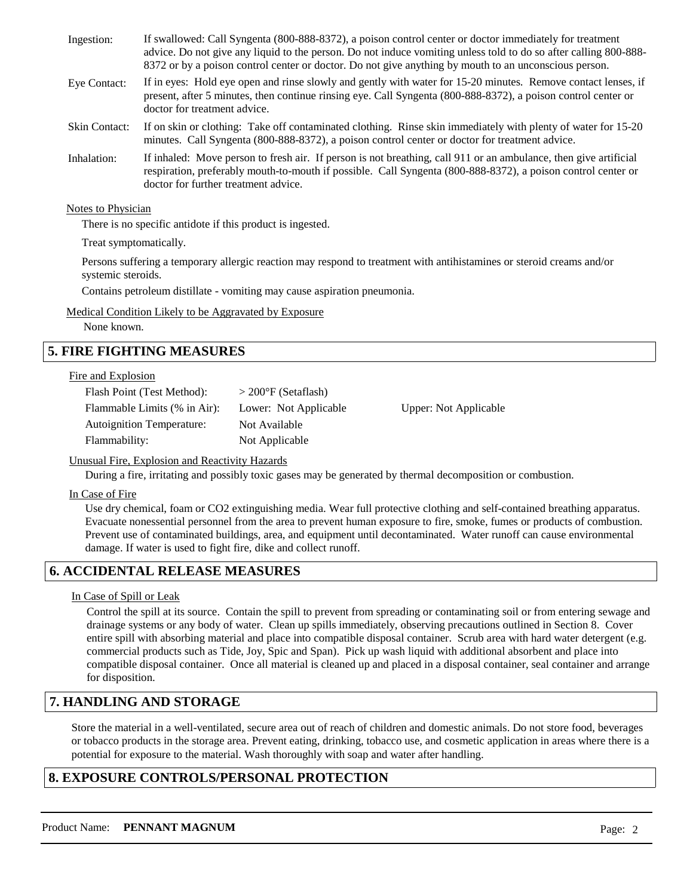| Ingestion:           | If swallowed: Call Syngenta (800-888-8372), a poison control center or doctor immediately for treatment<br>advice. Do not give any liquid to the person. Do not induce vomiting unless told to do so after calling 800-888-<br>8372 or by a poison control center or doctor. Do not give anything by mouth to an unconscious person. |
|----------------------|--------------------------------------------------------------------------------------------------------------------------------------------------------------------------------------------------------------------------------------------------------------------------------------------------------------------------------------|
| Eye Contact:         | If in eyes: Hold eye open and rinse slowly and gently with water for 15-20 minutes. Remove contact lenses, if<br>present, after 5 minutes, then continue rinsing eye. Call Syngenta (800-888-8372), a poison control center or<br>doctor for treatment advice.                                                                       |
| <b>Skin Contact:</b> | If on skin or clothing: Take off contaminated clothing. Rinse skin immediately with plenty of water for 15-20<br>minutes. Call Syngenta (800-888-8372), a poison control center or doctor for treatment advice.                                                                                                                      |
| Inhalation:          | If inhaled: Move person to fresh air. If person is not breathing, call 911 or an ambulance, then give artificial<br>respiration, preferably mouth-to-mouth if possible. Call Syngenta (800-888-8372), a poison control center or<br>doctor for further treatment advice.                                                             |

Notes to Physician

There is no specific antidote if this product is ingested.

Treat symptomatically.

Persons suffering a temporary allergic reaction may respond to treatment with antihistamines or steroid creams and/or systemic steroids.

Contains petroleum distillate - vomiting may cause aspiration pneumonia.

Medical Condition Likely to be Aggravated by Exposure

None known.

## **5. FIRE FIGHTING MEASURES**

#### Fire and Explosion

| Flash Point (Test Method):   | $>$ 200 $\rm{°F}$ (Setaflash) |                       |
|------------------------------|-------------------------------|-----------------------|
| Flammable Limits (% in Air): | Lower: Not Applicable         | Upper: Not Applicable |
| Autoignition Temperature:    | Not Available                 |                       |
| Flammability:                | Not Applicable                |                       |

### Unusual Fire, Explosion and Reactivity Hazards

During a fire, irritating and possibly toxic gases may be generated by thermal decomposition or combustion.

In Case of Fire

Use dry chemical, foam or CO2 extinguishing media. Wear full protective clothing and self-contained breathing apparatus. Evacuate nonessential personnel from the area to prevent human exposure to fire, smoke, fumes or products of combustion. Prevent use of contaminated buildings, area, and equipment until decontaminated. Water runoff can cause environmental damage. If water is used to fight fire, dike and collect runoff.

## **6. ACCIDENTAL RELEASE MEASURES**

### In Case of Spill or Leak

Control the spill at its source. Contain the spill to prevent from spreading or contaminating soil or from entering sewage and drainage systems or any body of water. Clean up spills immediately, observing precautions outlined in Section 8. Cover entire spill with absorbing material and place into compatible disposal container. Scrub area with hard water detergent (e.g. commercial products such as Tide, Joy, Spic and Span). Pick up wash liquid with additional absorbent and place into compatible disposal container. Once all material is cleaned up and placed in a disposal container, seal container and arrange for disposition.

## **7. HANDLING AND STORAGE**

Store the material in a well-ventilated, secure area out of reach of children and domestic animals. Do not store food, beverages or tobacco products in the storage area. Prevent eating, drinking, tobacco use, and cosmetic application in areas where there is a potential for exposure to the material. Wash thoroughly with soap and water after handling.

## **8. EXPOSURE CONTROLS/PERSONAL PROTECTION**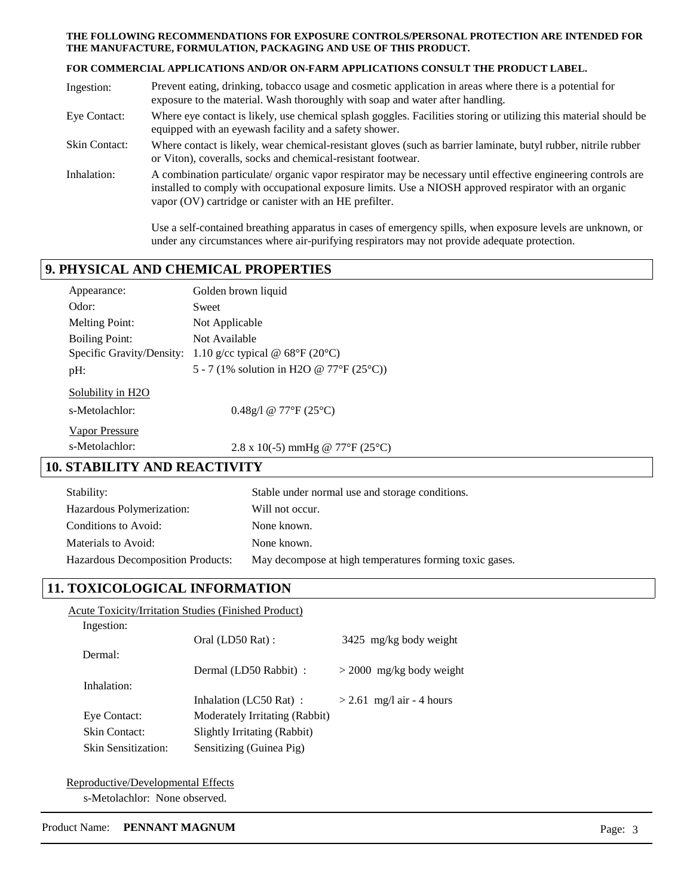#### **THE FOLLOWING RECOMMENDATIONS FOR EXPOSURE CONTROLS/PERSONAL PROTECTION ARE INTENDED FOR THE MANUFACTURE, FORMULATION, PACKAGING AND USE OF THIS PRODUCT.**

#### **FOR COMMERCIAL APPLICATIONS AND/OR ON-FARM APPLICATIONS CONSULT THE PRODUCT LABEL.**

| Ingestion:           | Prevent eating, drinking, tobacco usage and cosmetic application in areas where there is a potential for<br>exposure to the material. Wash thoroughly with soap and water after handling.                                                                                         |
|----------------------|-----------------------------------------------------------------------------------------------------------------------------------------------------------------------------------------------------------------------------------------------------------------------------------|
| Eye Contact:         | Where eye contact is likely, use chemical splash goggles. Facilities storing or utilizing this material should be<br>equipped with an eyewash facility and a safety shower.                                                                                                       |
| <b>Skin Contact:</b> | Where contact is likely, wear chemical-resistant gloves (such as barrier laminate, butyl rubber, nitrile rubber<br>or Viton), coveralls, socks and chemical-resistant footwear.                                                                                                   |
| Inhalation:          | A combination particulate/ organic vapor respirator may be necessary until effective engineering controls are<br>installed to comply with occupational exposure limits. Use a NIOSH approved respirator with an organic<br>vapor (OV) cartridge or canister with an HE prefilter. |

Use a self-contained breathing apparatus in cases of emergency spills, when exposure levels are unknown, or under any circumstances where air-purifying respirators may not provide adequate protection.

## **9. PHYSICAL AND CHEMICAL PROPERTIES**

| Appearance:                | Golden brown liquid                                                      |
|----------------------------|--------------------------------------------------------------------------|
| Odor:                      | Sweet                                                                    |
| <b>Melting Point:</b>      | Not Applicable                                                           |
| <b>Boiling Point:</b>      | Not Available                                                            |
|                            | Specific Gravity/Density: 1.10 g/cc typical @ $68^{\circ}F(20^{\circ}C)$ |
| pH:                        | 5 - 7 (1% solution in H2O @ 77°F (25°C))                                 |
| Solubility in H2O          |                                                                          |
| s-Metolachlor:             | $0.48g/1$ @ 77°F (25°C)                                                  |
| Vapor Pressure             |                                                                          |
| s-Metolachlor:             | 2.8 x 10(-5) mmHg @ 77°F (25°C)                                          |
| . STABILITY AND REACTIVITY |                                                                          |

## **10. STABILITY AND**

| Stability:                               | Stable under normal use and storage conditions.         |
|------------------------------------------|---------------------------------------------------------|
| Hazardous Polymerization:                | Will not occur.                                         |
| Conditions to Avoid:                     | None known.                                             |
| Materials to Avoid:                      | None known.                                             |
| <b>Hazardous Decomposition Products:</b> | May decompose at high temperatures forming toxic gases. |

## **11. TOXICOLOGICAL INFORMATION**

|                      | <b>Acute Toxicity/Irritation Studies (Finished Product)</b> |                             |
|----------------------|-------------------------------------------------------------|-----------------------------|
| Ingestion:           |                                                             |                             |
|                      | Oral (LD50 Rat):                                            | 3425 mg/kg body weight      |
| Dermal:              |                                                             |                             |
|                      | Dermal (LD50 Rabbit) :                                      | $>$ 2000 mg/kg body weight  |
| Inhalation:          |                                                             |                             |
|                      | Inhalation (LC50 Rat):                                      | $>$ 2.61 mg/l air - 4 hours |
| Eye Contact:         | Moderately Irritating (Rabbit)                              |                             |
| <b>Skin Contact:</b> | Slightly Irritating (Rabbit)                                |                             |
| Skin Sensitization:  | Sensitizing (Guinea Pig)                                    |                             |
|                      |                                                             |                             |

Reproductive/Developmental Effects s-Metolachlor: None observed.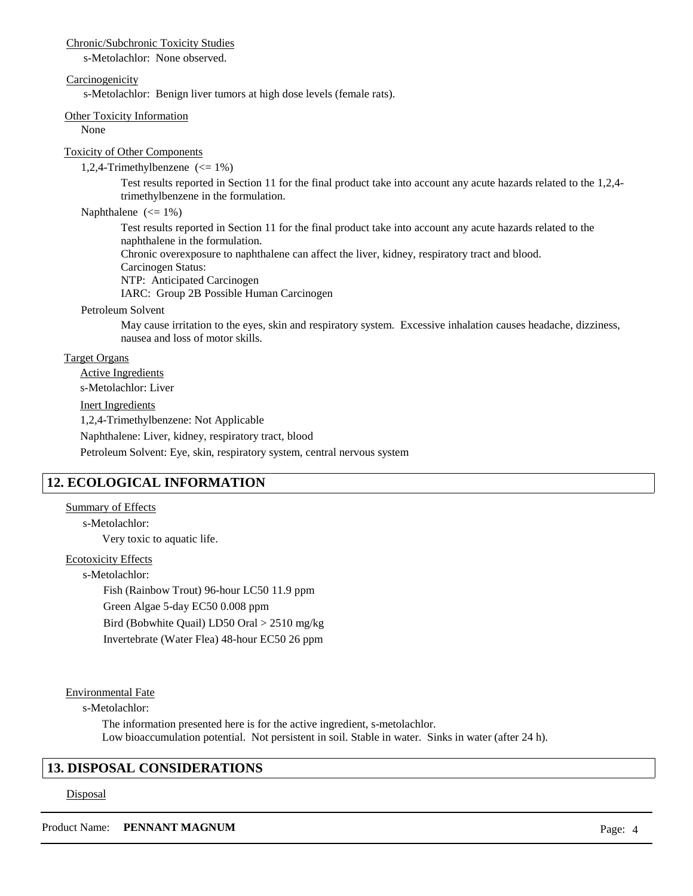#### Chronic/Subchronic Toxicity Studies

s-Metolachlor: None observed.

#### **Carcinogenicity**

s-Metolachlor: Benign liver tumors at high dose levels (female rats).

#### Other Toxicity Information

None

#### Toxicity of Other Components

1,2,4-Trimethylbenzene (<= 1%)

Test results reported in Section 11 for the final product take into account any acute hazards related to the 1,2,4 trimethylbenzene in the formulation.

#### Naphthalene  $(<= 1\%)$

Test results reported in Section 11 for the final product take into account any acute hazards related to the naphthalene in the formulation.

Chronic overexposure to naphthalene can affect the liver, kidney, respiratory tract and blood. Carcinogen Status:

NTP: Anticipated Carcinogen

IARC: Group 2B Possible Human Carcinogen

#### Petroleum Solvent

May cause irritation to the eyes, skin and respiratory system. Excessive inhalation causes headache, dizziness, nausea and loss of motor skills.

#### Target Organs

Active Ingredients s-Metolachlor: Liver

### Inert Ingredients

1,2,4-Trimethylbenzene: Not Applicable

Naphthalene: Liver, kidney, respiratory tract, blood

Petroleum Solvent: Eye, skin, respiratory system, central nervous system

## **12. ECOLOGICAL INFORMATION**

#### Summary of Effects

Very toxic to aquatic life. s-Metolachlor:

### Ecotoxicity Effects

s-Metolachlor: Fish (Rainbow Trout) 96-hour LC50 11.9 ppm Green Algae 5-day EC50 0.008 ppm Bird (Bobwhite Quail) LD50 Oral > 2510 mg/kg Invertebrate (Water Flea) 48-hour EC50 26 ppm

Environmental Fate

s-Metolachlor:

The information presented here is for the active ingredient, s-metolachlor. Low bioaccumulation potential. Not persistent in soil. Stable in water. Sinks in water (after 24 h).

## **13. DISPOSAL CONSIDERATIONS**

#### Disposal

Product Name: **PENNANT MAGNUM** Page: 4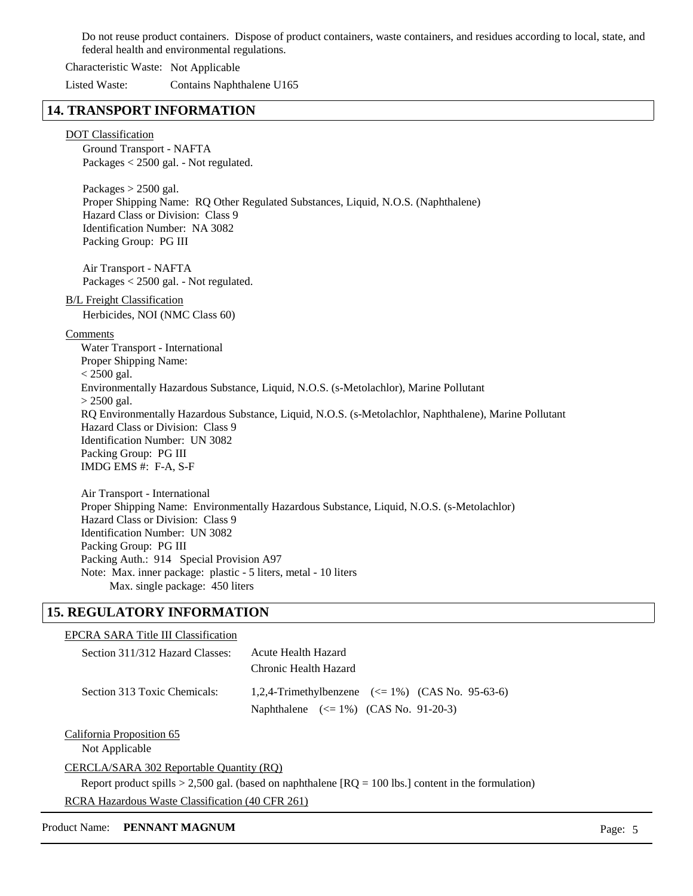Do not reuse product containers. Dispose of product containers, waste containers, and residues according to local, state, and federal health and environmental regulations.

Characteristic Waste: Not Applicable

Listed Waste: Contains Naphthalene U165

## **14. TRANSPORT INFORMATION**

#### DOT Classification

Ground Transport - NAFTA Packages < 2500 gal. - Not regulated.

Packages  $> 2500$  gal. Proper Shipping Name: RQ Other Regulated Substances, Liquid, N.O.S. (Naphthalene) Hazard Class or Division: Class 9 Identification Number: NA 3082 Packing Group: PG III

Air Transport - NAFTA Packages < 2500 gal. - Not regulated.

### B/L Freight Classification

Herbicides, NOI (NMC Class 60)

#### Comments

Water Transport - International Proper Shipping Name:  $< 2500$  gal. Environmentally Hazardous Substance, Liquid, N.O.S. (s-Metolachlor), Marine Pollutant  $> 2500$  gal. RQ Environmentally Hazardous Substance, Liquid, N.O.S. (s-Metolachlor, Naphthalene), Marine Pollutant Hazard Class or Division: Class 9 Identification Number: UN 3082 Packing Group: PG III IMDG EMS #: F-A, S-F

Air Transport - International Proper Shipping Name: Environmentally Hazardous Substance, Liquid, N.O.S. (s-Metolachlor) Hazard Class or Division: Class 9 Identification Number: UN 3082 Packing Group: PG III Packing Auth.: 914 Special Provision A97 Note: Max. inner package: plastic - 5 liters, metal - 10 liters Max. single package: 450 liters

## **15. REGULATORY INFORMATION**

| EPCRA SARA Title III Classification |                                                                                                |  |  |
|-------------------------------------|------------------------------------------------------------------------------------------------|--|--|
| Section 311/312 Hazard Classes:     | Acute Health Hazard<br>Chronic Health Hazard                                                   |  |  |
| Section 313 Toxic Chemicals:        | 1,2,4-Trimethylbenzene $(<= 1\%)$ (CAS No. 95-63-6)<br>Naphthalene $(<=1\%)$ (CAS No. 91-20-3) |  |  |
|                                     |                                                                                                |  |  |

California Proposition 65

Not Applicable

### CERCLA/SARA 302 Reportable Quantity (RQ)

Report product spills  $> 2,500$  gal. (based on naphthalene  $[RQ = 100$  lbs.) content in the formulation)

RCRA Hazardous Waste Classification (40 CFR 261)

#### Product Name: **PENNANT MAGNUM Page: 5**